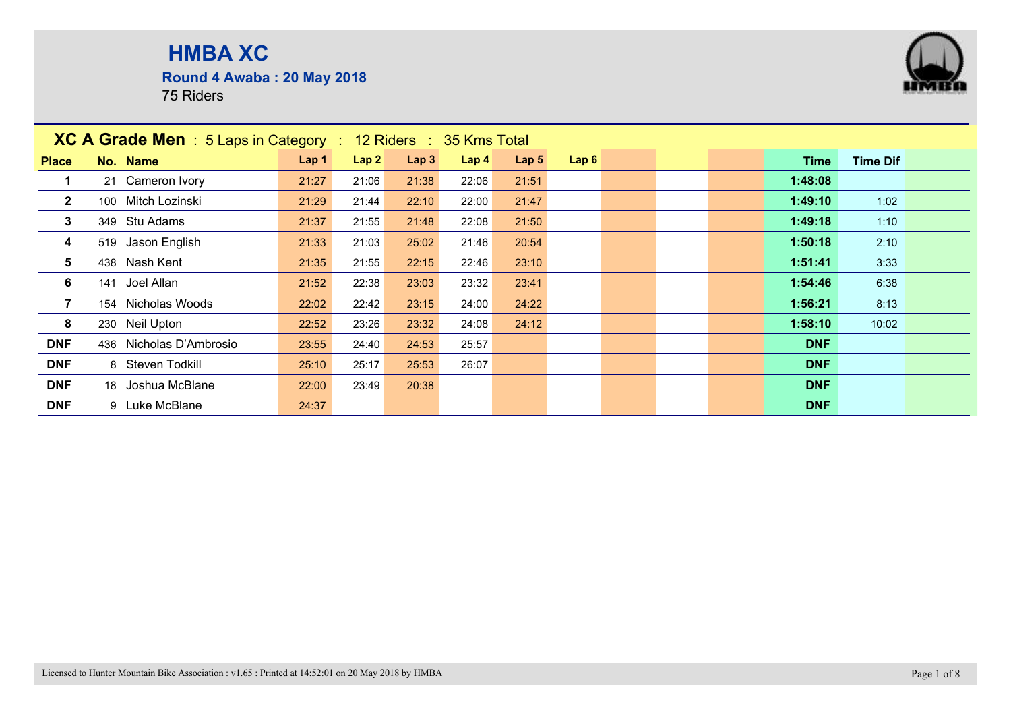**Round 4 Awaba : 20 May 2018**



|                         | <b>XC A Grade Men</b> : 5 Laps in Category : 12 Riders : 35 Kms Total |       |       |       |                  |                  |      |  |            |                 |  |
|-------------------------|-----------------------------------------------------------------------|-------|-------|-------|------------------|------------------|------|--|------------|-----------------|--|
| <b>Place</b>            | No. Name                                                              | Lap 1 | Lap2  | Lap3  | Lap <sub>4</sub> | Lap <sub>5</sub> | Lap6 |  | Time       | <b>Time Dif</b> |  |
|                         | 21 Cameron Ivory                                                      | 21:27 | 21:06 | 21:38 | 22:06            | 21:51            |      |  | 1:48:08    |                 |  |
| $\overline{2}$          | 100 Mitch Lozinski                                                    | 21:29 | 21:44 | 22:10 | 22:00            | 21:47            |      |  | 1:49:10    | 1:02            |  |
| $\mathbf{3}$            | 349 Stu Adams                                                         | 21:37 | 21:55 | 21:48 | 22:08            | 21:50            |      |  | 1:49:18    | 1:10            |  |
| $\overline{\mathbf{4}}$ | 519 Jason English                                                     | 21:33 | 21:03 | 25:02 | 21:46            | 20:54            |      |  | 1:50:18    | 2:10            |  |
| $5\phantom{.0}$         | 438 Nash Kent                                                         | 21:35 | 21:55 | 22:15 | 22:46            | 23:10            |      |  | 1:51:41    | 3:33            |  |
| 6                       | 141 Joel Allan                                                        | 21:52 | 22:38 | 23:03 | 23:32            | 23:41            |      |  | 1:54:46    | 6:38            |  |
| $\overline{7}$          | 154 Nicholas Woods                                                    | 22:02 | 22:42 | 23:15 | 24:00            | 24:22            |      |  | 1:56:21    | 8:13            |  |
| 8                       | 230 Neil Upton                                                        | 22:52 | 23:26 | 23:32 | 24:08            | 24:12            |      |  | 1:58:10    | 10:02           |  |
| <b>DNF</b>              | 436 Nicholas D'Ambrosio                                               | 23:55 | 24:40 | 24:53 | 25:57            |                  |      |  | <b>DNF</b> |                 |  |
| <b>DNF</b>              | 8 Steven Todkill                                                      | 25:10 | 25:17 | 25:53 | 26:07            |                  |      |  | <b>DNF</b> |                 |  |
| <b>DNF</b>              | 18 Joshua McBlane                                                     | 22:00 | 23:49 | 20:38 |                  |                  |      |  | <b>DNF</b> |                 |  |
| <b>DNF</b>              | 9 Luke McBlane                                                        | 24:37 |       |       |                  |                  |      |  | <b>DNF</b> |                 |  |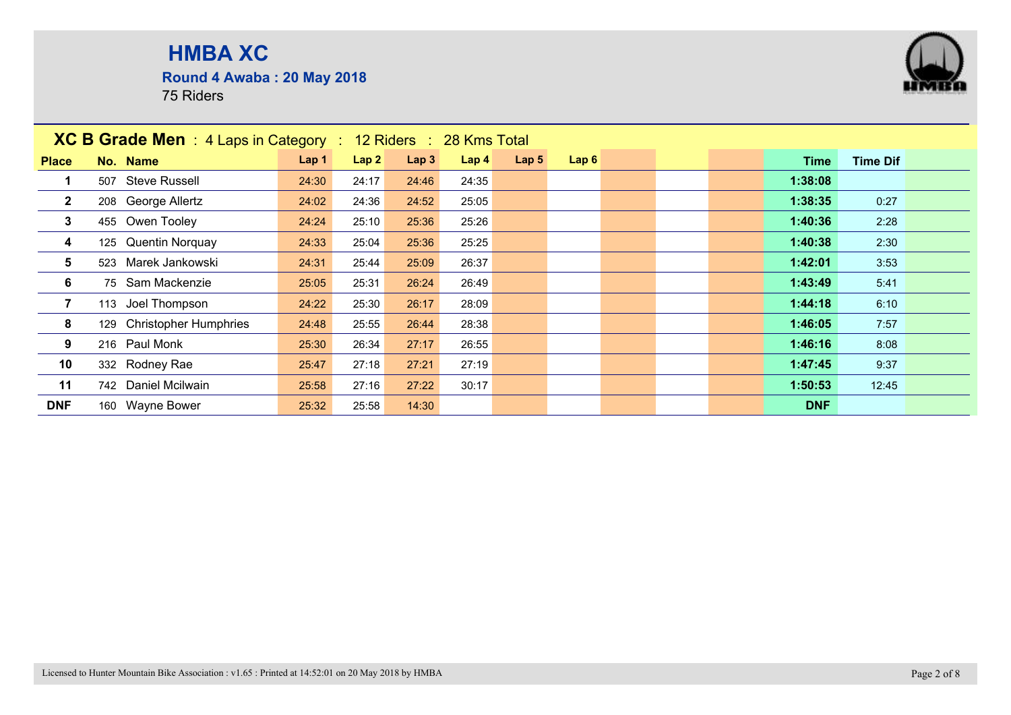**Round 4 Awaba : 20 May 2018**



| <b>XC B Grade Men</b> : 4 Laps in Category :<br>12 Riders : 28 Kms Total<br>Lap6<br>Lap 1<br>Lap2<br>Lap3<br>Lap <sub>5</sub><br>Lap <sub>4</sub><br>No. Name<br><b>Time Dif</b><br><b>Place</b><br>Time<br>507 Steve Russell<br>1:38:08<br>24:30<br>24:17<br>24:35<br>24:46<br>1:38:35<br>$\mathbf{2}$<br>208 George Allertz<br>24:02<br>24:52<br>25:05<br>0:27<br>24:36<br>$\mathbf{3}$<br>455 Owen Tooley<br>1:40:36<br>2:28<br>24:24<br>25:10<br>25:36<br>25:26<br>125 Quentin Norquay<br>1:40:38<br>2:30<br>4<br>24:33<br>25:04<br>25:36<br>25:25<br>523 Marek Jankowski<br>5<br>1:42:01<br>3:53<br>24:31<br>25:44<br>26:37<br>25:09<br>6<br>75 Sam Mackenzie<br>1:43:49<br>25:05<br>25:31<br>26:49<br>5:41<br>26:24<br>$\overline{7}$<br>113 Joel Thompson<br>1:44:18<br>6:10<br>24:22<br>25:30<br>26:17<br>28:09<br>8<br>129 Christopher Humphries<br>1:46:05<br>7:57<br>28:38<br>24:48<br>25:55<br>26:44<br>9<br>216 Paul Monk<br>1:46:16<br>8:08<br>25:30<br>26:34<br>27:17<br>26:55<br>332 Rodney Rae |  |                     |       |       |       |       |  |  |  |  |            |       |
|-----------------------------------------------------------------------------------------------------------------------------------------------------------------------------------------------------------------------------------------------------------------------------------------------------------------------------------------------------------------------------------------------------------------------------------------------------------------------------------------------------------------------------------------------------------------------------------------------------------------------------------------------------------------------------------------------------------------------------------------------------------------------------------------------------------------------------------------------------------------------------------------------------------------------------------------------------------------------------------------------------------------|--|---------------------|-------|-------|-------|-------|--|--|--|--|------------|-------|
|                                                                                                                                                                                                                                                                                                                                                                                                                                                                                                                                                                                                                                                                                                                                                                                                                                                                                                                                                                                                                 |  |                     |       |       |       |       |  |  |  |  |            |       |
|                                                                                                                                                                                                                                                                                                                                                                                                                                                                                                                                                                                                                                                                                                                                                                                                                                                                                                                                                                                                                 |  |                     |       |       |       |       |  |  |  |  |            |       |
|                                                                                                                                                                                                                                                                                                                                                                                                                                                                                                                                                                                                                                                                                                                                                                                                                                                                                                                                                                                                                 |  |                     |       |       |       |       |  |  |  |  |            |       |
|                                                                                                                                                                                                                                                                                                                                                                                                                                                                                                                                                                                                                                                                                                                                                                                                                                                                                                                                                                                                                 |  |                     |       |       |       |       |  |  |  |  |            |       |
|                                                                                                                                                                                                                                                                                                                                                                                                                                                                                                                                                                                                                                                                                                                                                                                                                                                                                                                                                                                                                 |  |                     |       |       |       |       |  |  |  |  |            |       |
|                                                                                                                                                                                                                                                                                                                                                                                                                                                                                                                                                                                                                                                                                                                                                                                                                                                                                                                                                                                                                 |  |                     |       |       |       |       |  |  |  |  |            |       |
|                                                                                                                                                                                                                                                                                                                                                                                                                                                                                                                                                                                                                                                                                                                                                                                                                                                                                                                                                                                                                 |  |                     |       |       |       |       |  |  |  |  |            |       |
|                                                                                                                                                                                                                                                                                                                                                                                                                                                                                                                                                                                                                                                                                                                                                                                                                                                                                                                                                                                                                 |  |                     |       |       |       |       |  |  |  |  |            |       |
|                                                                                                                                                                                                                                                                                                                                                                                                                                                                                                                                                                                                                                                                                                                                                                                                                                                                                                                                                                                                                 |  |                     |       |       |       |       |  |  |  |  |            |       |
|                                                                                                                                                                                                                                                                                                                                                                                                                                                                                                                                                                                                                                                                                                                                                                                                                                                                                                                                                                                                                 |  |                     |       |       |       |       |  |  |  |  |            |       |
| 10                                                                                                                                                                                                                                                                                                                                                                                                                                                                                                                                                                                                                                                                                                                                                                                                                                                                                                                                                                                                              |  |                     | 25:47 | 27:18 | 27:21 | 27:19 |  |  |  |  | 1:47:45    | 9:37  |
| 11                                                                                                                                                                                                                                                                                                                                                                                                                                                                                                                                                                                                                                                                                                                                                                                                                                                                                                                                                                                                              |  | 742 Daniel Mcilwain | 25:58 | 27:16 | 27:22 | 30:17 |  |  |  |  | 1:50:53    | 12:45 |
| <b>DNF</b>                                                                                                                                                                                                                                                                                                                                                                                                                                                                                                                                                                                                                                                                                                                                                                                                                                                                                                                                                                                                      |  | 160 Wayne Bower     | 25:32 | 25:58 | 14:30 |       |  |  |  |  | <b>DNF</b> |       |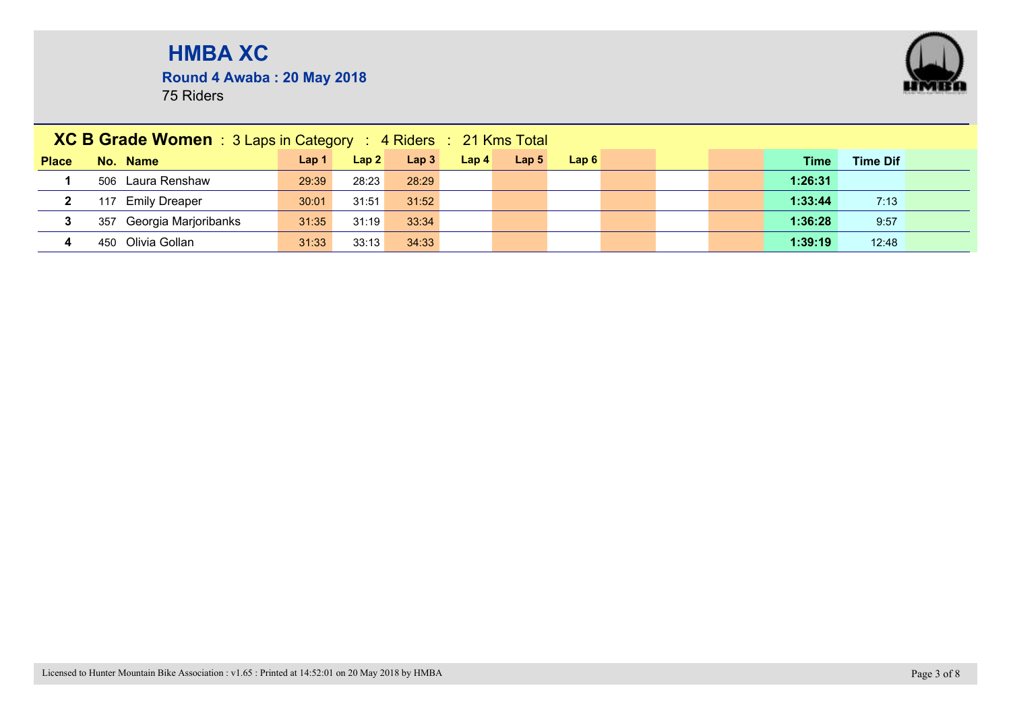**Round 4 Awaba : 20 May 2018**



|              | <b>XC B Grade Women</b> : $3$ Laps in Category : $4$ Riders : $21$ Kms Total |       |       |                  |                  |                  |      |  |         |                 |  |
|--------------|------------------------------------------------------------------------------|-------|-------|------------------|------------------|------------------|------|--|---------|-----------------|--|
| <b>Place</b> | No. Name                                                                     | Lap 1 | Lap2  | Lap <sub>3</sub> | Lap <sub>4</sub> | Lap <sub>5</sub> | Lap6 |  | Time    | <b>Time Dif</b> |  |
|              | 506 Laura Renshaw                                                            | 29:39 | 28:23 | 28:29            |                  |                  |      |  | 1:26:31 |                 |  |
| $\mathbf{2}$ | <b>Emily Dreaper</b><br>117                                                  | 30:01 | 31:51 | 31:52            |                  |                  |      |  | 1:33:44 | 7:13            |  |
| 3            | 357 Georgia Marjoribanks                                                     | 31:35 | 31:19 | 33:34            |                  |                  |      |  | 1:36:28 | 9:57            |  |
| 4            | Olivia Gollan<br>450                                                         | 31:33 | 33:13 | 34:33            |                  |                  |      |  | 1:39:19 | 12:48           |  |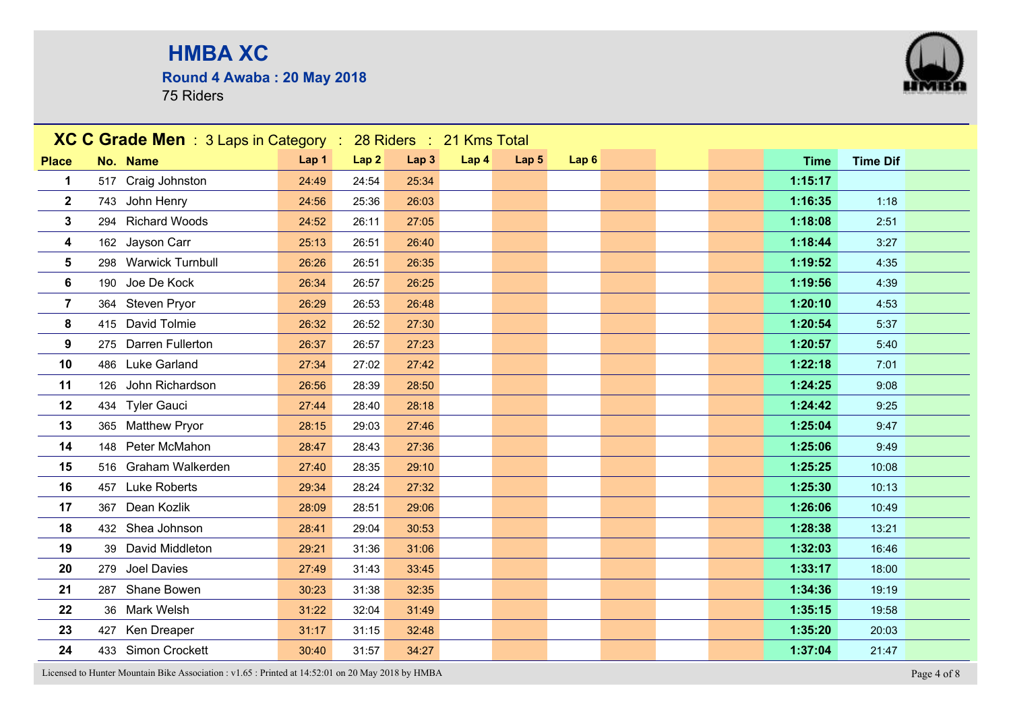**Round 4 Awaba : 20 May 2018**

75 Riders



Licensed to Hunter Mountain Bike Association : v1.65 : Printed at 14:52:01 on 20 May 2018 by HMBA Page 4 of 8

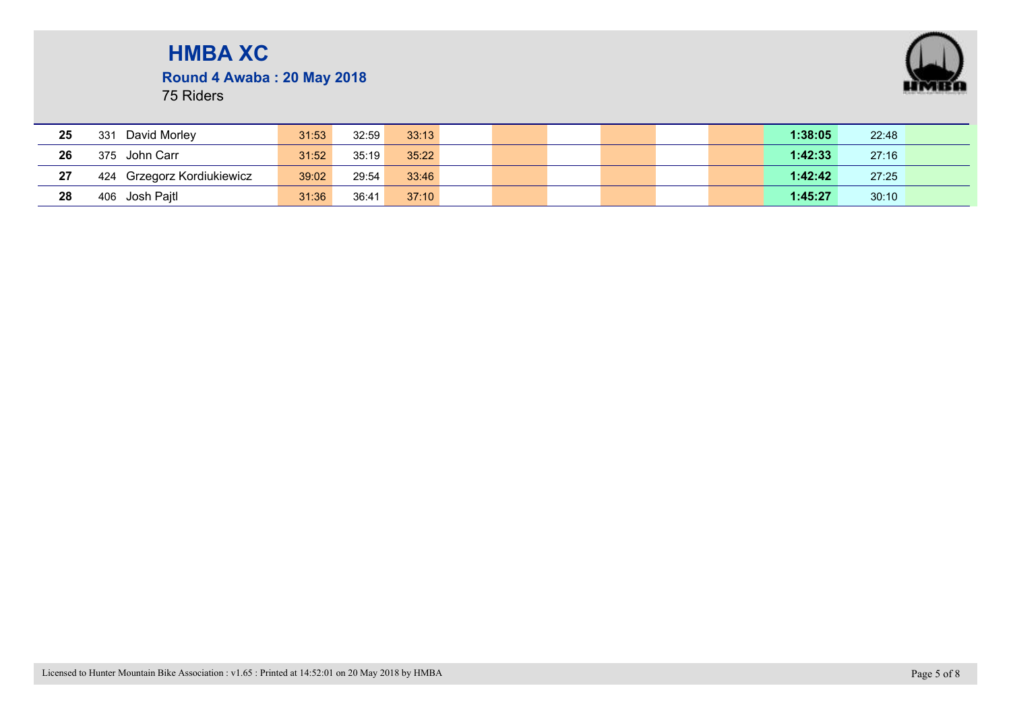

**Round 4 Awaba : 20 May 2018**

| 25 | David Morley<br>331        | 31:53 | 32:59 | 33:13 |  |  |  | 1:38:05 | 22:48 |  |
|----|----------------------------|-------|-------|-------|--|--|--|---------|-------|--|
| 26 | 375 John Carr              | 31:52 | 35:19 | 35:22 |  |  |  | 1:42:33 | 27:16 |  |
| 27 | 424 Grzegorz Kordiukiewicz | 39:02 | 29:54 | 33:46 |  |  |  | 1:42:42 | 27:25 |  |
| 28 | 406 Josh Pajtl             | 31:36 | 36:41 | 37:10 |  |  |  | 1:45:27 | 30:10 |  |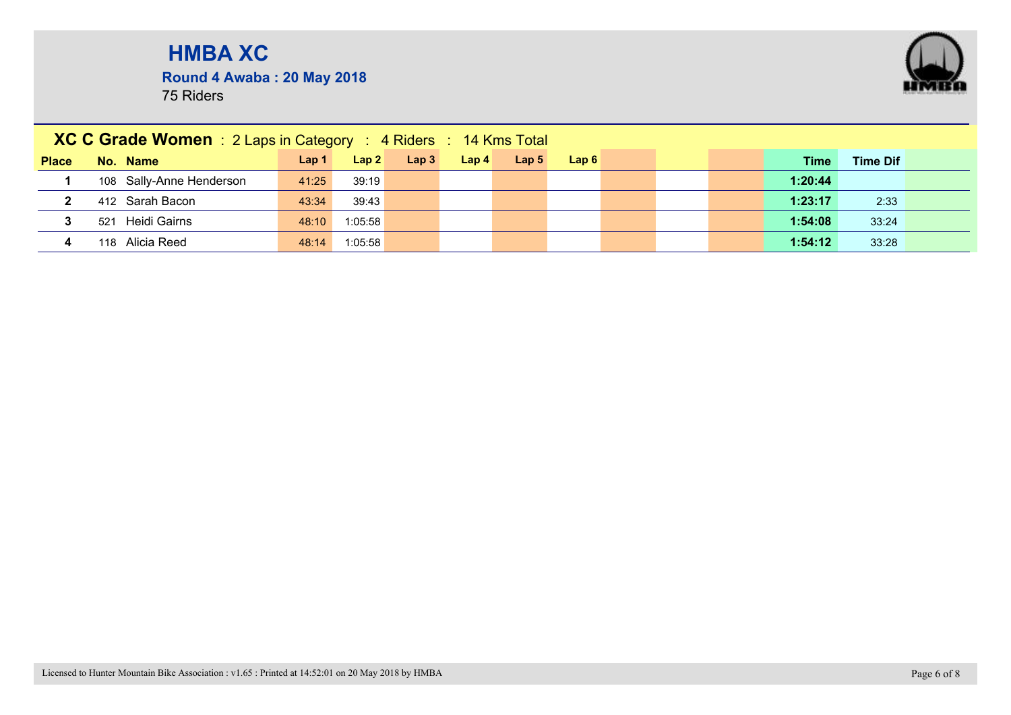**Round 4 Awaba : 20 May 2018**



|              | XC C Grade Women : 2 Laps in Category : 4 Riders : 14 Kms Total |                  |         |                  |                  |                  |      |  |         |                 |  |
|--------------|-----------------------------------------------------------------|------------------|---------|------------------|------------------|------------------|------|--|---------|-----------------|--|
| <b>Place</b> | No. Name                                                        | Lap <sub>1</sub> | Lap2    | Lap <sub>3</sub> | Lap <sub>4</sub> | Lap <sub>5</sub> | Lap6 |  | Time    | <b>Time Dif</b> |  |
|              | 108 Sally-Anne Henderson                                        | 41:25            | 39:19   |                  |                  |                  |      |  | 1:20:44 |                 |  |
| $\mathbf{2}$ | 412 Sarah Bacon                                                 | 43:34            | 39:43   |                  |                  |                  |      |  | 1:23:17 | 2:33            |  |
|              | Heidi Gairns<br>521                                             | 48:10            | 1:05:58 |                  |                  |                  |      |  | 1:54:08 | 33:24           |  |
| 4            | Alicia Reed<br>118                                              | 48:14            | 1:05:58 |                  |                  |                  |      |  | 1:54:12 | 33:28           |  |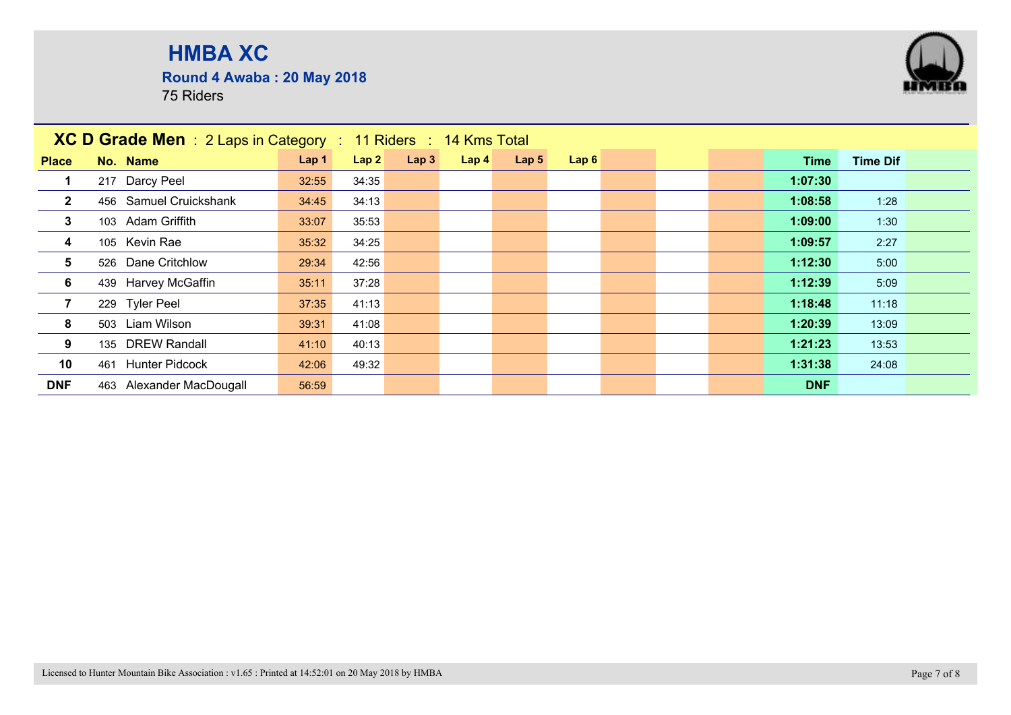**Round 4 Awaba : 20 May 2018**



|              | <b>XC D Grade Men</b> : 2 Laps in Category : 11 Riders : 14 Kms Total |       |       |      |                  |                  |      |  |            |                 |
|--------------|-----------------------------------------------------------------------|-------|-------|------|------------------|------------------|------|--|------------|-----------------|
| <b>Place</b> | No. Name                                                              | Lap 1 | Lap2  | Lap3 | Lap <sub>4</sub> | Lap <sub>5</sub> | Lap6 |  | Time       | <b>Time Dif</b> |
|              | 217 Darcy Peel                                                        | 32:55 | 34:35 |      |                  |                  |      |  | 1:07:30    |                 |
| $\mathbf{2}$ | 456 Samuel Cruickshank                                                | 34:45 | 34:13 |      |                  |                  |      |  | 1:08:58    | 1:28            |
| 3            | 103 Adam Griffith                                                     | 33:07 | 35:53 |      |                  |                  |      |  | 1:09:00    | 1:30            |
| 4            | 105 Kevin Rae                                                         | 35:32 | 34:25 |      |                  |                  |      |  | 1:09:57    | 2:27            |
| 5            | 526 Dane Critchlow                                                    | 29:34 | 42:56 |      |                  |                  |      |  | 1:12:30    | 5:00            |
| 6            | 439 Harvey McGaffin                                                   | 35:11 | 37:28 |      |                  |                  |      |  | 1:12:39    | 5:09            |
|              | 229 Tyler Peel                                                        | 37:35 | 41:13 |      |                  |                  |      |  | 1:18:48    | 11:18           |
| 8            | 503 Liam Wilson                                                       | 39:31 | 41:08 |      |                  |                  |      |  | 1:20:39    | 13:09           |
| 9            | 135 DREW Randall                                                      | 41:10 | 40:13 |      |                  |                  |      |  | 1:21:23    | 13:53           |
| 10           | <b>Hunter Pidcock</b><br>461                                          | 42:06 | 49:32 |      |                  |                  |      |  | 1:31:38    | 24:08           |
| <b>DNF</b>   | 463 Alexander MacDougall                                              | 56:59 |       |      |                  |                  |      |  | <b>DNF</b> |                 |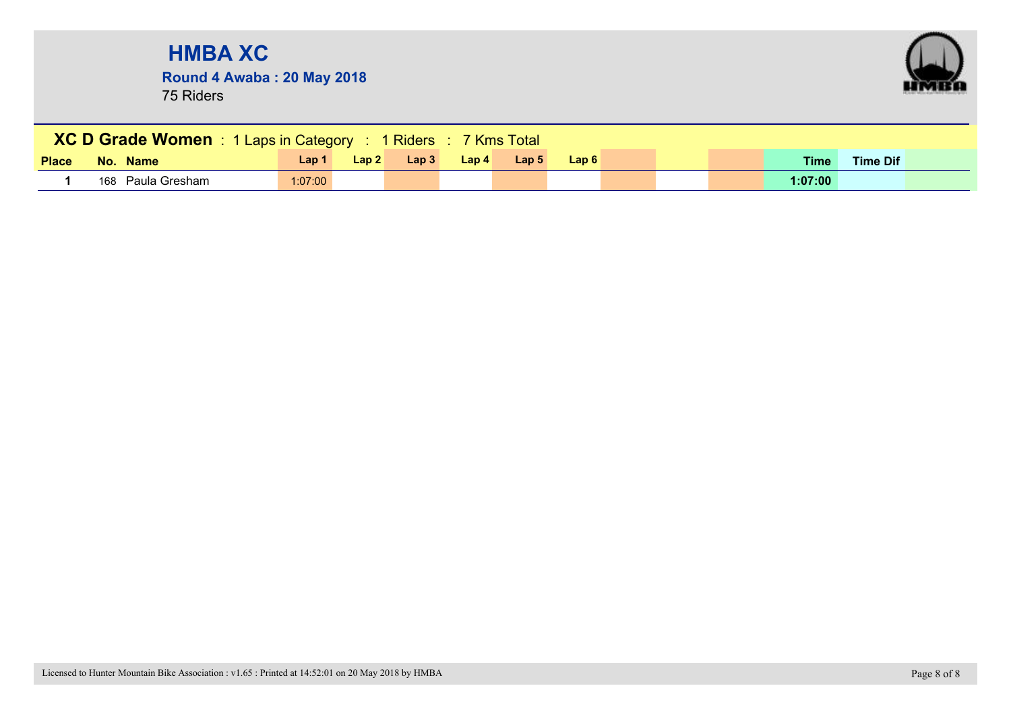**Round 4 Awaba : 20 May 2018**



| <b>XC D Grade Women</b> 1 Laps in Category : 1 Riders : 7 Kms Total<br>Lap2<br>Lap <sub>5</sub><br>Lap <sub>3</sub><br>Lap <sub>4</sub><br>Lap6<br>Lap 1<br><b>Time</b><br><b>Time Dif</b><br><b>Place</b><br>No. Name |                   |         |  |  |  |  |  |  |  |  |         |  |  |
|------------------------------------------------------------------------------------------------------------------------------------------------------------------------------------------------------------------------|-------------------|---------|--|--|--|--|--|--|--|--|---------|--|--|
|                                                                                                                                                                                                                        |                   |         |  |  |  |  |  |  |  |  |         |  |  |
|                                                                                                                                                                                                                        | 168 Paula Gresham | 1:07:00 |  |  |  |  |  |  |  |  | 1:07:00 |  |  |